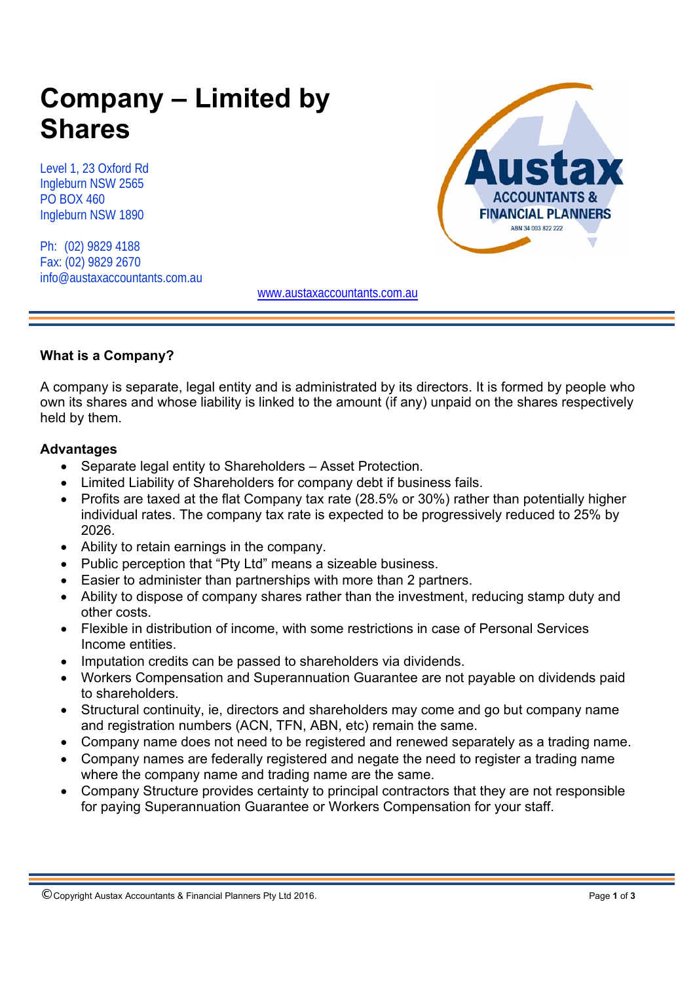# **Company – Limited by Shares**

Level 1, 23 Oxford Rd Ingleburn NSW 2565 PO BOX 460 Ingleburn NSW 1890

Ph: (02) 9829 4188 Fax: (02) 9829 2670 info@austaxaccountants.com.au



www.austaxaccountants.com.au

## **What is a Company?**

A company is separate, legal entity and is administrated by its directors. It is formed by people who own its shares and whose liability is linked to the amount (if any) unpaid on the shares respectively held by them.

## **Advantages**

- Separate legal entity to Shareholders Asset Protection.
- Limited Liability of Shareholders for company debt if business fails.
- Profits are taxed at the flat Company tax rate (28.5% or 30%) rather than potentially higher individual rates. The company tax rate is expected to be progressively reduced to 25% by 2026.
- Ability to retain earnings in the company.
- Public perception that "Pty Ltd" means a sizeable business.
- Easier to administer than partnerships with more than 2 partners.
- Ability to dispose of company shares rather than the investment, reducing stamp duty and other costs.
- Flexible in distribution of income, with some restrictions in case of Personal Services Income entities.
- Imputation credits can be passed to shareholders via dividends.
- Workers Compensation and Superannuation Guarantee are not payable on dividends paid to shareholders.
- Structural continuity, ie, directors and shareholders may come and go but company name and registration numbers (ACN, TFN, ABN, etc) remain the same.
- Company name does not need to be registered and renewed separately as a trading name.
- Company names are federally registered and negate the need to register a trading name where the company name and trading name are the same.
- Company Structure provides certainty to principal contractors that they are not responsible for paying Superannuation Guarantee or Workers Compensation for your staff.

<sup>©</sup> Copyright Austax Accountants & Financial Planners Pty Ltd 2016. Page **1** of **<sup>3</sup>**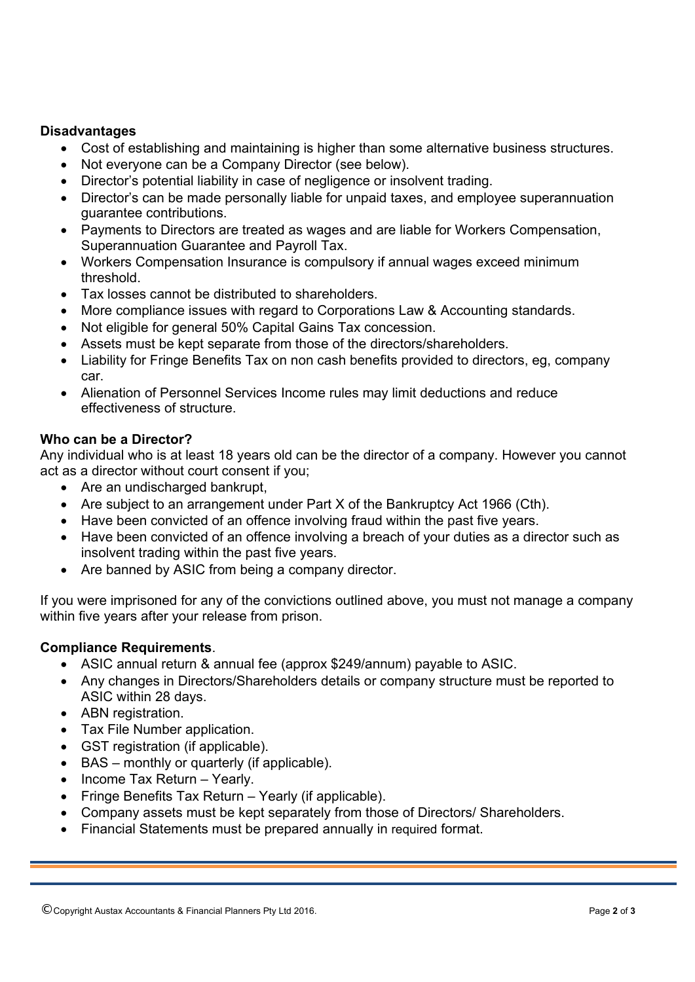### **Disadvantages**

- Cost of establishing and maintaining is higher than some alternative business structures.
- Not everyone can be a Company Director (see below).
- Director's potential liability in case of negligence or insolvent trading.
- Director's can be made personally liable for unpaid taxes, and employee superannuation guarantee contributions.
- Payments to Directors are treated as wages and are liable for Workers Compensation, Superannuation Guarantee and Payroll Tax.
- Workers Compensation Insurance is compulsory if annual wages exceed minimum threshold.
- Tax losses cannot be distributed to shareholders.
- More compliance issues with regard to Corporations Law & Accounting standards.
- Not eligible for general 50% Capital Gains Tax concession.
- Assets must be kept separate from those of the directors/shareholders.
- Liability for Fringe Benefits Tax on non cash benefits provided to directors, eg, company car.
- Alienation of Personnel Services Income rules may limit deductions and reduce effectiveness of structure.

#### **Who can be a Director?**

Any individual who is at least 18 years old can be the director of a company. However you cannot act as a director without court consent if you;

- Are an undischarged bankrupt,
- Are subject to an arrangement under Part X of the Bankruptcy Act 1966 (Cth).
- Have been convicted of an offence involving fraud within the past five years.
- Have been convicted of an offence involving a breach of your duties as a director such as insolvent trading within the past five years.
- Are banned by ASIC from being a company director.

If you were imprisoned for any of the convictions outlined above, you must not manage a company within five years after your release from prison.

#### **Compliance Requirements**.

- ASIC annual return & annual fee (approx \$249/annum) payable to ASIC.
- Any changes in Directors/Shareholders details or company structure must be reported to ASIC within 28 days.
- ABN registration.
- Tax File Number application.
- GST registration (if applicable).
- BAS monthly or quarterly (if applicable).
- Income Tax Return Yearly.
- Fringe Benefits Tax Return Yearly (if applicable).
- Company assets must be kept separately from those of Directors/ Shareholders.
- Financial Statements must be prepared annually in required format.